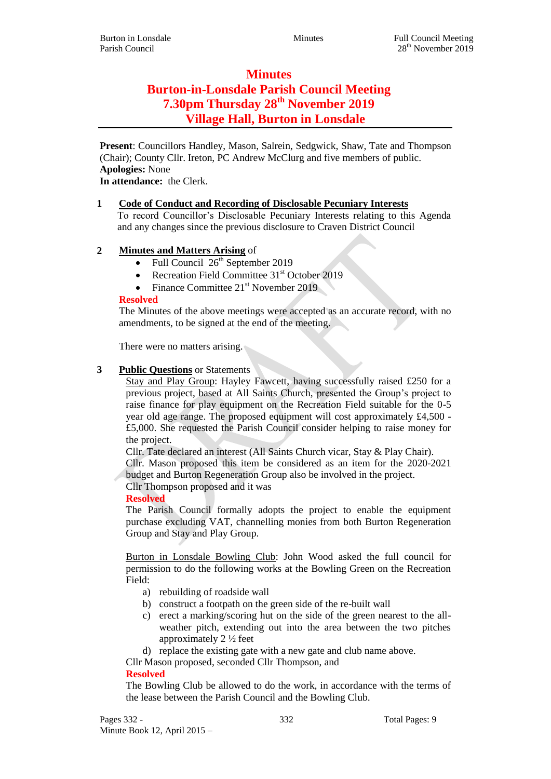# **Minutes Burton-in-Lonsdale Parish Council Meeting 7.30pm Thursday 28th November 2019 Village Hall, Burton in Lonsdale**

**Present**: Councillors Handley, Mason, Salrein, Sedgwick, Shaw, Tate and Thompson (Chair); County Cllr. Ireton, PC Andrew McClurg and five members of public. **Apologies:** None

**In attendance:** the Clerk.

#### **1 Code of Conduct and Recording of Disclosable Pecuniary Interests**

To record Councillor's Disclosable Pecuniary Interests relating to this Agenda and any changes since the previous disclosure to Craven District Council

## **2 Minutes and Matters Arising** of

- Full Council  $26<sup>th</sup>$  September 2019
- Recreation Field Committee  $31<sup>st</sup>$  October 2019
- Finance Committee  $21<sup>st</sup>$  November 2019

#### **Resolved**

The Minutes of the above meetings were accepted as an accurate record, with no amendments, to be signed at the end of the meeting.

There were no matters arising.

## **3 Public Questions** or Statements

Stay and Play Group: Hayley Fawcett, having successfully raised £250 for a previous project, based at All Saints Church, presented the Group's project to raise finance for play equipment on the Recreation Field suitable for the 0-5 year old age range. The proposed equipment will cost approximately £4,500 - £5,000. She requested the Parish Council consider helping to raise money for the project.

Cllr. Tate declared an interest (All Saints Church vicar, Stay & Play Chair).

Cllr. Mason proposed this item be considered as an item for the 2020-2021 budget and Burton Regeneration Group also be involved in the project.

Cllr Thompson proposed and it was

## **Resolved**

The Parish Council formally adopts the project to enable the equipment purchase excluding VAT, channelling monies from both Burton Regeneration Group and Stay and Play Group.

Burton in Lonsdale Bowling Club: John Wood asked the full council for permission to do the following works at the Bowling Green on the Recreation Field:

- a) rebuilding of roadside wall
- b) construct a footpath on the green side of the re-built wall
- c) erect a marking/scoring hut on the side of the green nearest to the allweather pitch, extending out into the area between the two pitches approximately 2 ½ feet

d) replace the existing gate with a new gate and club name above.

Cllr Mason proposed, seconded Cllr Thompson, and

#### **Resolved**

The Bowling Club be allowed to do the work, in accordance with the terms of the lease between the Parish Council and the Bowling Club.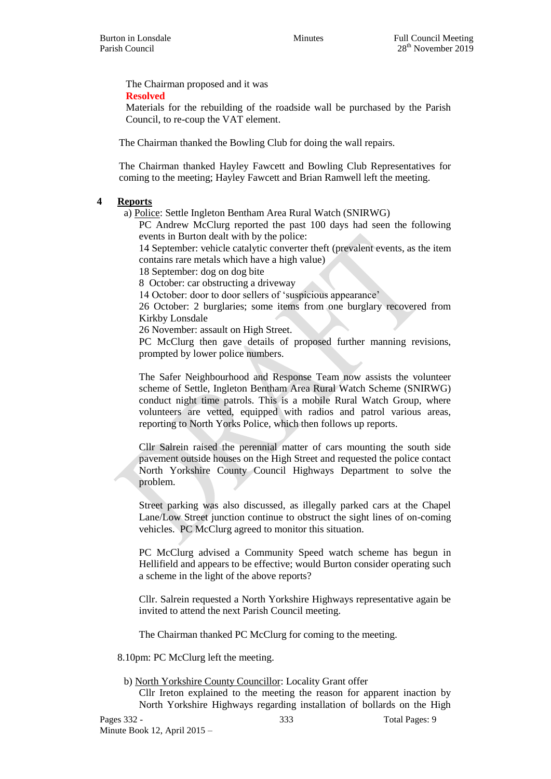The Chairman proposed and it was **Resolved**

Materials for the rebuilding of the roadside wall be purchased by the Parish Council, to re-coup the VAT element.

The Chairman thanked the Bowling Club for doing the wall repairs.

The Chairman thanked Hayley Fawcett and Bowling Club Representatives for coming to the meeting; Hayley Fawcett and Brian Ramwell left the meeting.

## **4 Reports**

a) Police: Settle Ingleton Bentham Area Rural Watch (SNIRWG)

PC Andrew McClurg reported the past 100 days had seen the following events in Burton dealt with by the police:

14 September: vehicle catalytic converter theft (prevalent events, as the item contains rare metals which have a high value)

18 September: dog on dog bite

8 October: car obstructing a driveway

14 October: door to door sellers of 'suspicious appearance'

26 October: 2 burglaries; some items from one burglary recovered from Kirkby Lonsdale

26 November: assault on High Street.

PC McClurg then gave details of proposed further manning revisions, prompted by lower police numbers.

The Safer Neighbourhood and Response Team now assists the volunteer scheme of Settle, Ingleton Bentham Area Rural Watch Scheme (SNIRWG) conduct night time patrols. This is a mobile Rural Watch Group, where volunteers are vetted, equipped with radios and patrol various areas, reporting to North Yorks Police, which then follows up reports.

Cllr Salrein raised the perennial matter of cars mounting the south side pavement outside houses on the High Street and requested the police contact North Yorkshire County Council Highways Department to solve the problem.

Street parking was also discussed, as illegally parked cars at the Chapel Lane/Low Street junction continue to obstruct the sight lines of on-coming vehicles. PC McClurg agreed to monitor this situation.

PC McClurg advised a Community Speed watch scheme has begun in Hellifield and appears to be effective; would Burton consider operating such a scheme in the light of the above reports?

Cllr. Salrein requested a North Yorkshire Highways representative again be invited to attend the next Parish Council meeting.

The Chairman thanked PC McClurg for coming to the meeting.

8.10pm: PC McClurg left the meeting.

b) North Yorkshire County Councillor: Locality Grant offer

Cllr Ireton explained to the meeting the reason for apparent inaction by North Yorkshire Highways regarding installation of bollards on the High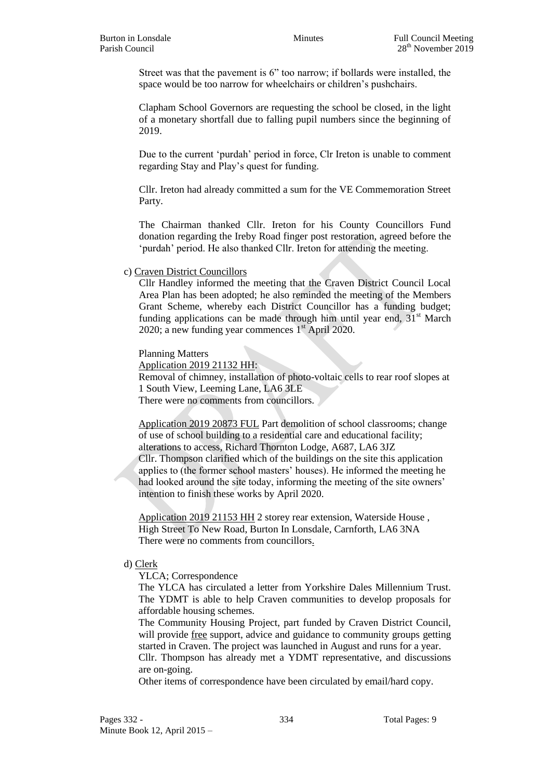Street was that the pavement is 6" too narrow; if bollards were installed, the space would be too narrow for wheelchairs or children's pushchairs.

Clapham School Governors are requesting the school be closed, in the light of a monetary shortfall due to falling pupil numbers since the beginning of 2019.

Due to the current 'purdah' period in force, Clr Ireton is unable to comment regarding Stay and Play's quest for funding.

Cllr. Ireton had already committed a sum for the VE Commemoration Street Party.

The Chairman thanked Cllr. Ireton for his County Councillors Fund donation regarding the Ireby Road finger post restoration, agreed before the 'purdah' period. He also thanked Cllr. Ireton for attending the meeting.

#### c) Craven District Councillors

Cllr Handley informed the meeting that the Craven District Council Local Area Plan has been adopted; he also reminded the meeting of the Members Grant Scheme, whereby each District Councillor has a funding budget; funding applications can be made through him until year end,  $31<sup>st</sup>$  March 2020; a new funding year commences  $1<sup>st</sup>$  April 2020.

Planning Matters

Application 2019 21132 HH:

Removal of chimney, installation of photo-voltaic cells to rear roof slopes at 1 South View, Leeming Lane, LA6 3LE

There were no comments from councillors.

Application 2019 20873 FUL Part demolition of school classrooms; change of use of school building to a residential care and educational facility; alterations to access, Richard Thornton Lodge, A687, LA6 3JZ Cllr. Thompson clarified which of the buildings on the site this application

applies to (the former school masters' houses). He informed the meeting he had looked around the site today, informing the meeting of the site owners' intention to finish these works by April 2020.

Application 2019 21153 HH 2 storey rear extension, Waterside House , High Street To New Road, Burton In Lonsdale, Carnforth, LA6 3NA There were no comments from councillors.

#### d) Clerk

YLCA; Correspondence

The YLCA has circulated a letter from Yorkshire Dales Millennium Trust. The YDMT is able to help Craven communities to develop proposals for affordable housing schemes.

The Community Housing Project, part funded by Craven District Council, will provide free support, advice and guidance to community groups getting started in Craven. The project was launched in August and runs for a year. Cllr. Thompson has already met a YDMT representative, and discussions are on-going.

Other items of correspondence have been circulated by email/hard copy.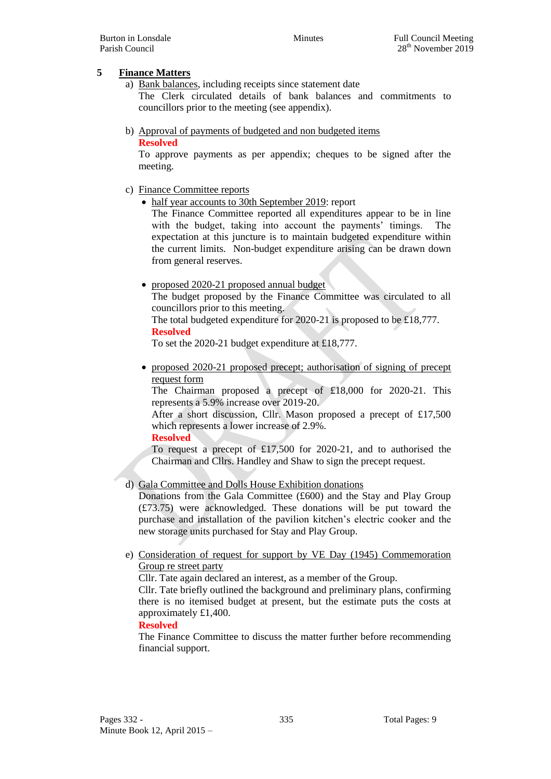## **5 Finance Matters**

- a) Bank balances, including receipts since statement date The Clerk circulated details of bank balances and commitments to councillors prior to the meeting (see appendix).
- b) Approval of payments of budgeted and non budgeted items **Resolved**

To approve payments as per appendix; cheques to be signed after the meeting.

- c) Finance Committee reports
	- half year accounts to 30th September 2019: report

The Finance Committee reported all expenditures appear to be in line with the budget, taking into account the payments' timings. The expectation at this juncture is to maintain budgeted expenditure within the current limits. Non-budget expenditure arising can be drawn down from general reserves.

proposed 2020-21 proposed annual budget

The budget proposed by the Finance Committee was circulated to all councillors prior to this meeting.

The total budgeted expenditure for 2020-21 is proposed to be £18,777.

**Resolved**

To set the 2020-21 budget expenditure at £18,777.

 proposed 2020-21 proposed precept; authorisation of signing of precept request form

The Chairman proposed a precept of £18,000 for 2020-21. This represents a 5.9% increase over 2019-20.

After a short discussion, Cllr. Mason proposed a precept of £17,500 which represents a lower increase of 2.9%.

**Resolved**

To request a precept of £17,500 for 2020-21, and to authorised the Chairman and Cllrs. Handley and Shaw to sign the precept request.

d) Gala Committee and Dolls House Exhibition donations

Donations from the Gala Committee (£600) and the Stay and Play Group (£73.75) were acknowledged. These donations will be put toward the purchase and installation of the pavilion kitchen's electric cooker and the new storage units purchased for Stay and Play Group.

e) Consideration of request for support by VE Day (1945) Commemoration Group re street party

Cllr. Tate again declared an interest, as a member of the Group.

Cllr. Tate briefly outlined the background and preliminary plans, confirming there is no itemised budget at present, but the estimate puts the costs at approximately £1,400.

## **Resolved**

The Finance Committee to discuss the matter further before recommending financial support.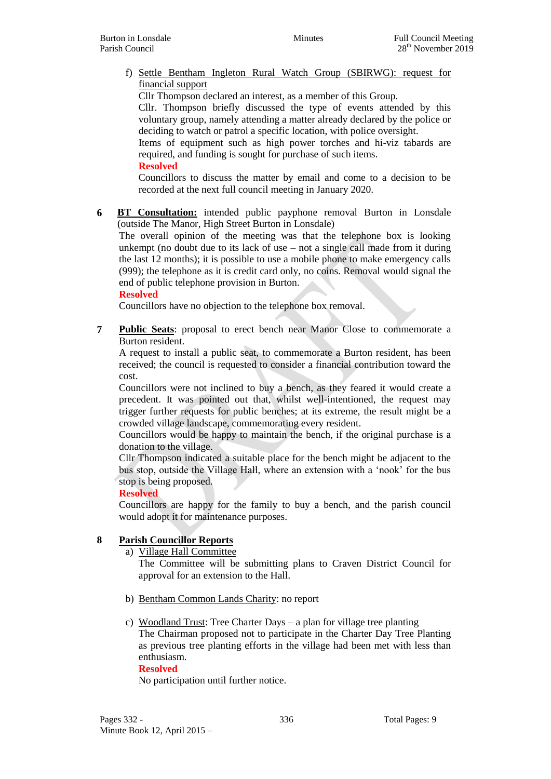f) Settle Bentham Ingleton Rural Watch Group (SBIRWG): request for financial support

Cllr Thompson declared an interest, as a member of this Group.

Cllr. Thompson briefly discussed the type of events attended by this voluntary group, namely attending a matter already declared by the police or deciding to watch or patrol a specific location, with police oversight.

Items of equipment such as high power torches and hi-viz tabards are required, and funding is sought for purchase of such items.

**Resolved**

Councillors to discuss the matter by email and come to a decision to be recorded at the next full council meeting in January 2020.

**6 BT Consultation:** intended public payphone removal Burton in Lonsdale (outside The Manor, High Street Burton in Lonsdale)

The overall opinion of the meeting was that the telephone box is looking unkempt (no doubt due to its lack of use – not a single call made from it during the last 12 months); it is possible to use a mobile phone to make emergency calls (999); the telephone as it is credit card only, no coins. Removal would signal the end of public telephone provision in Burton.

#### **Resolved**

Councillors have no objection to the telephone box removal.

**7 Public Seats**: proposal to erect bench near Manor Close to commemorate a Burton resident.

A request to install a public seat, to commemorate a Burton resident, has been received; the council is requested to consider a financial contribution toward the cost.

Councillors were not inclined to buy a bench, as they feared it would create a precedent. It was pointed out that, whilst well-intentioned, the request may trigger further requests for public benches; at its extreme, the result might be a crowded village landscape, commemorating every resident.

Councillors would be happy to maintain the bench, if the original purchase is a donation to the village.

Cllr Thompson indicated a suitable place for the bench might be adjacent to the bus stop, outside the Village Hall, where an extension with a 'nook' for the bus stop is being proposed.

#### **Resolved**

Councillors are happy for the family to buy a bench, and the parish council would adopt it for maintenance purposes.

## **8 Parish Councillor Reports**

## a) Village Hall Committee

The Committee will be submitting plans to Craven District Council for approval for an extension to the Hall.

- b) Bentham Common Lands Charity: no report
- c) Woodland Trust: Tree Charter Days a plan for village tree planting The Chairman proposed not to participate in the Charter Day Tree Planting as previous tree planting efforts in the village had been met with less than enthusiasm.

#### **Resolved**

No participation until further notice.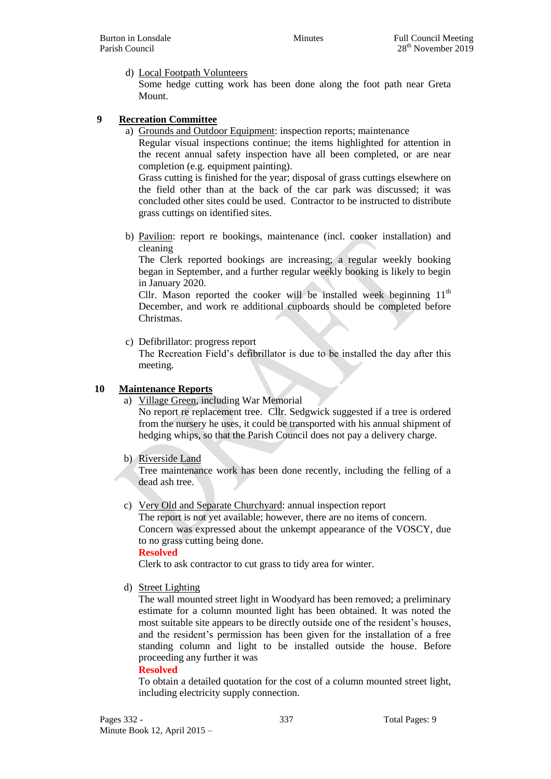d) Local Footpath Volunteers

Some hedge cutting work has been done along the foot path near Greta Mount.

#### **9 Recreation Committee**

a) Grounds and Outdoor Equipment: inspection reports; maintenance

Regular visual inspections continue; the items highlighted for attention in the recent annual safety inspection have all been completed, or are near completion (e.g. equipment painting).

Grass cutting is finished for the year; disposal of grass cuttings elsewhere on the field other than at the back of the car park was discussed; it was concluded other sites could be used. Contractor to be instructed to distribute grass cuttings on identified sites.

b) Pavilion: report re bookings, maintenance (incl. cooker installation) and cleaning

The Clerk reported bookings are increasing; a regular weekly booking began in September, and a further regular weekly booking is likely to begin in January 2020.

Cllr. Mason reported the cooker will be installed week beginning  $11<sup>th</sup>$ December, and work re additional cupboards should be completed before Christmas.

c) Defibrillator: progress report

The Recreation Field's defibrillator is due to be installed the day after this meeting.

#### **10 Maintenance Reports**

a) Village Green, including War Memorial

No report re replacement tree. Cllr. Sedgwick suggested if a tree is ordered from the nursery he uses, it could be transported with his annual shipment of hedging whips, so that the Parish Council does not pay a delivery charge.

b) Riverside Land

Tree maintenance work has been done recently, including the felling of a dead ash tree.

c) Very Old and Separate Churchyard: annual inspection report The report is not yet available; however, there are no items of concern.

Concern was expressed about the unkempt appearance of the VOSCY, due to no grass cutting being done.

**Resolved**

Clerk to ask contractor to cut grass to tidy area for winter.

d) Street Lighting

The wall mounted street light in Woodyard has been removed; a preliminary estimate for a column mounted light has been obtained. It was noted the most suitable site appears to be directly outside one of the resident's houses, and the resident's permission has been given for the installation of a free standing column and light to be installed outside the house. Before proceeding any further it was

#### **Resolved**

To obtain a detailed quotation for the cost of a column mounted street light, including electricity supply connection.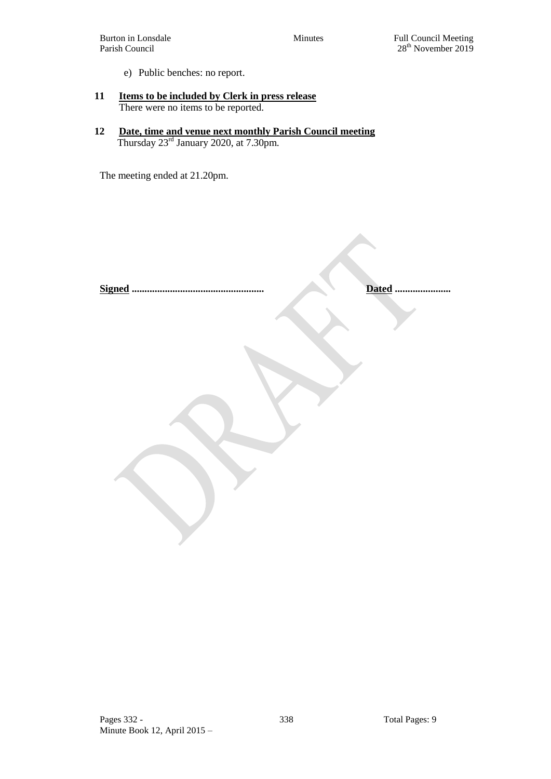e) Public benches: no report.

#### **11 Items to be included by Clerk in press release** There were no items to be reported.

**12 Date, time and venue next monthly Parish Council meeting** Thursday 23rd January 2020, at 7.30pm.

The meeting ended at 21.20pm.

**Signed .................................................... Dated ......................**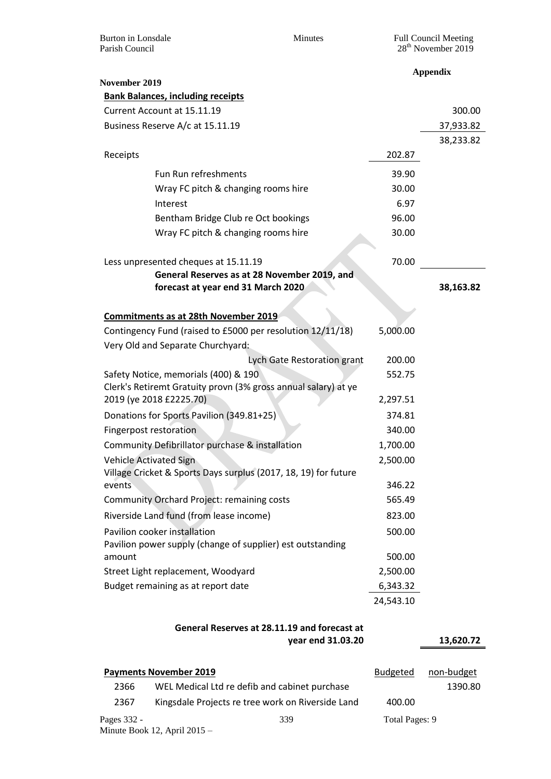| Parish Council                                                                                         | <b>Burton</b> in Lonsdale<br>Minutes                                               |                             | <b>Full Council Meeting</b><br>28 <sup>th</sup> November 2019 |           |  |  |
|--------------------------------------------------------------------------------------------------------|------------------------------------------------------------------------------------|-----------------------------|---------------------------------------------------------------|-----------|--|--|
| November 2019                                                                                          |                                                                                    |                             | <b>Appendix</b>                                               |           |  |  |
|                                                                                                        | <b>Bank Balances, including receipts</b>                                           |                             |                                                               |           |  |  |
|                                                                                                        | Current Account at 15.11.19                                                        |                             |                                                               | 300.00    |  |  |
|                                                                                                        | Business Reserve A/c at 15.11.19                                                   |                             |                                                               | 37,933.82 |  |  |
|                                                                                                        |                                                                                    |                             |                                                               | 38,233.82 |  |  |
| Receipts                                                                                               |                                                                                    |                             | 202.87                                                        |           |  |  |
|                                                                                                        | Fun Run refreshments                                                               |                             | 39.90                                                         |           |  |  |
|                                                                                                        | Wray FC pitch & changing rooms hire                                                |                             | 30.00                                                         |           |  |  |
|                                                                                                        | Interest                                                                           |                             | 6.97                                                          |           |  |  |
|                                                                                                        | Bentham Bridge Club re Oct bookings                                                |                             | 96.00                                                         |           |  |  |
|                                                                                                        | Wray FC pitch & changing rooms hire                                                |                             | 30.00                                                         |           |  |  |
|                                                                                                        |                                                                                    |                             |                                                               |           |  |  |
|                                                                                                        | Less unpresented cheques at 15.11.19                                               |                             | 70.00                                                         |           |  |  |
|                                                                                                        | General Reserves as at 28 November 2019, and<br>forecast at year end 31 March 2020 |                             |                                                               | 38,163.82 |  |  |
|                                                                                                        |                                                                                    |                             |                                                               |           |  |  |
|                                                                                                        | <b>Commitments as at 28th November 2019</b>                                        |                             |                                                               |           |  |  |
|                                                                                                        | Contingency Fund (raised to £5000 per resolution 12/11/18)                         |                             | 5,000.00                                                      |           |  |  |
|                                                                                                        | Very Old and Separate Churchyard:                                                  |                             |                                                               |           |  |  |
|                                                                                                        |                                                                                    | Lych Gate Restoration grant | 200.00                                                        |           |  |  |
| Safety Notice, memorials (400) & 190<br>Clerk's Retiremt Gratuity provn (3% gross annual salary) at ye |                                                                                    | 552.75                      |                                                               |           |  |  |
|                                                                                                        |                                                                                    |                             |                                                               |           |  |  |
|                                                                                                        | 2019 (ye 2018 £2225.70)                                                            |                             | 2,297.51                                                      |           |  |  |
|                                                                                                        | Donations for Sports Pavilion (349.81+25)                                          |                             | 374.81                                                        |           |  |  |
|                                                                                                        | Fingerpost restoration                                                             |                             | 340.00                                                        |           |  |  |
|                                                                                                        | Community Defibrillator purchase & installation                                    |                             | 1,700.00                                                      |           |  |  |
| <b>Vehicle Activated Sign</b>                                                                          |                                                                                    | 2,500.00                    |                                                               |           |  |  |
|                                                                                                        | Village Cricket & Sports Days surplus (2017, 18, 19) for future                    |                             |                                                               |           |  |  |
| events                                                                                                 |                                                                                    |                             | 346.22                                                        |           |  |  |
|                                                                                                        | <b>Community Orchard Project: remaining costs</b>                                  |                             | 565.49                                                        |           |  |  |
|                                                                                                        | Riverside Land fund (from lease income)                                            |                             | 823.00                                                        |           |  |  |
|                                                                                                        | Pavilion cooker installation                                                       |                             | 500.00                                                        |           |  |  |
| amount                                                                                                 | Pavilion power supply (change of supplier) est outstanding                         |                             | 500.00                                                        |           |  |  |
|                                                                                                        | Street Light replacement, Woodyard                                                 |                             | 2,500.00                                                      |           |  |  |
|                                                                                                        | Budget remaining as at report date                                                 |                             | 6,343.32                                                      |           |  |  |
|                                                                                                        |                                                                                    |                             | 24,543.10                                                     |           |  |  |
|                                                                                                        |                                                                                    |                             |                                                               |           |  |  |
| General Reserves at 28.11.19 and forecast at                                                           |                                                                                    |                             |                                                               |           |  |  |
| year end 31.03.20                                                                                      |                                                                                    |                             |                                                               |           |  |  |

| <b>Payments November 2019</b> |                                                   |  | <b>Budgeted</b> | non-budget |
|-------------------------------|---------------------------------------------------|--|-----------------|------------|
| 2366                          | WEL Medical Ltd re defib and cabinet purchase     |  |                 | 1390.80    |
| 2367                          | Kingsdale Projects re tree work on Riverside Land |  | 400.00          |            |
| Pages 332 -                   | 339<br>Minute Book 12, April $2015 -$             |  | Total Pages: 9  |            |